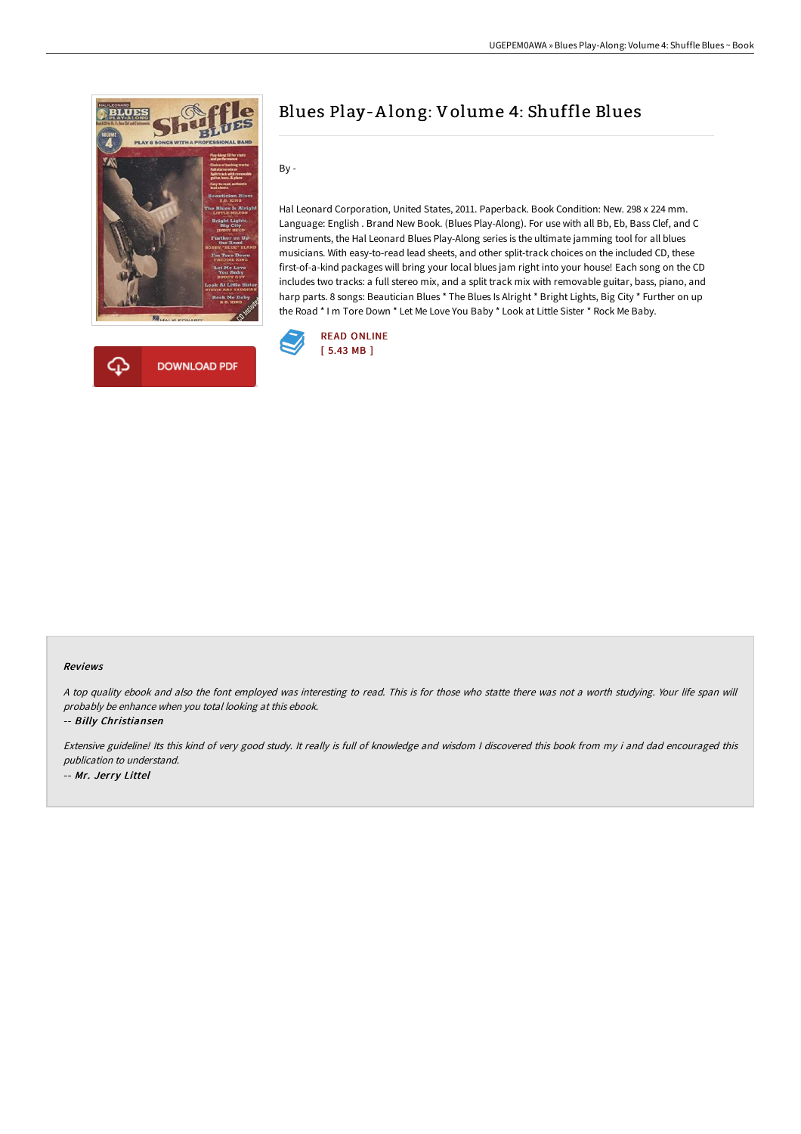



# Blues Play-A long: Volume 4: Shuffle Blues

By -

Hal Leonard Corporation, United States, 2011. Paperback. Book Condition: New. 298 x 224 mm. Language: English . Brand New Book. (Blues Play-Along). For use with all Bb, Eb, Bass Clef, and C instruments, the Hal Leonard Blues Play-Along series is the ultimate jamming tool for all blues musicians. With easy-to-read lead sheets, and other split-track choices on the included CD, these first-of-a-kind packages will bring your local blues jam right into your house! Each song on the CD includes two tracks: a full stereo mix, and a split track mix with removable guitar, bass, piano, and harp parts. 8 songs: Beautician Blues \* The Blues Is Alright \* Bright Lights, Big City \* Further on up the Road \* I m Tore Down \* Let Me Love You Baby \* Look at Little Sister \* Rock Me Baby.



#### Reviews

<sup>A</sup> top quality ebook and also the font employed was interesting to read. This is for those who statte there was not <sup>a</sup> worth studying. Your life span will probably be enhance when you total looking at this ebook.

-- Billy Christiansen

Extensive guideline! Its this kind of very good study. It really is full of knowledge and wisdom <sup>I</sup> discovered this book from my i and dad encouraged this publication to understand. -- Mr. Jerry Littel